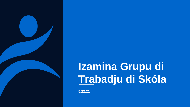

## **Izamina Grupu di Trabadju di Skóla**

**5.22.21**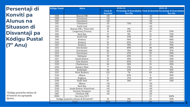**Persentaji di Konviti pa Alunus na Situason di Disvantaji pa Kódigu Pustal (7º Anu)**

*\*Kódigu pustal ku ménus di 10 konviti sta agrupadu djuntu.*

| <b>Kódigu Pustal</b> | <b>Bairu</b>                          |                                    | <b>SY20-21</b>                                                                        | <b>SY21-22</b>   |                |  |  |
|----------------------|---------------------------------------|------------------------------------|---------------------------------------------------------------------------------------|------------------|----------------|--|--|
|                      |                                       | <b>Total di</b><br><b>Konvitis</b> | Persentaji di Konvidadus Total di Konvitis Persentaji di Konvidadus<br><b>Eco Dis</b> |                  | <b>Eco Dis</b> |  |  |
| 2108                 | <b>Beacon Hill</b>                    | $\overline{50}$                    |                                                                                       | $\overline{10}$  |                |  |  |
| 2109                 | Downtown                              | $\overline{10}$                    |                                                                                       | $\overline{<}10$ |                |  |  |
| 2110                 | Downtown                              | $\overline{10}$                    |                                                                                       | $\overline{<}10$ |                |  |  |
| 2111                 | Chinatown                             | $\overline{24}$                    | 75%                                                                                   | $\overline{10}$  |                |  |  |
| 2113                 | North End                             | <10                                |                                                                                       | $\overline{<}10$ |                |  |  |
| 2114                 | Beacon Hill / West End                | 19                                 | 11%                                                                                   | $\overline{10}$  |                |  |  |
| 2115                 | Longwood/Fenway                       | $\overline{14}$                    | 43%                                                                                   | 10               | 20%            |  |  |
| 2116                 | <b>Back Bay</b>                       | $\overline{27}$                    | $0\%$                                                                                 | 13               | 23%            |  |  |
| 2118                 | South End                             | 36                                 | 33%                                                                                   | $\overline{27}$  | 19%            |  |  |
| 2119                 | Roxbury                               | $\overline{27}$                    | 56%                                                                                   | 50               | 68%            |  |  |
| 2120                 | Roxbury                               | $\overline{16}$                    | 63%                                                                                   | $\overline{11}$  | 55%            |  |  |
| 2121                 | Roxbury                               | $\overline{27}$                    | 78%                                                                                   | 67               | 76%            |  |  |
| 2122                 | Dorchester                            | 62                                 | 40%                                                                                   | 48               | 48%            |  |  |
| 2124                 | Dorchester                            | 84                                 | 51%                                                                                   | 109              | 47%            |  |  |
| 2125                 | Dorchester                            | $\overline{47}$                    | 47%                                                                                   | 59               | 59%            |  |  |
| 2126                 | Mattapan                              | 20                                 | 45%                                                                                   | $\overline{51}$  | 53%            |  |  |
| 2127                 | South Boston                          | $\overline{34}$                    | 35%                                                                                   | 35               | 34%            |  |  |
| 2128                 | <b>East Boston</b>                    | 57                                 | 65%                                                                                   | 75               | 55%            |  |  |
| 2129                 | Charlestown                           | $\overline{56}$                    | 38%                                                                                   | $\overline{35}$  | 20%            |  |  |
| 2130                 | Jamaica Plain                         | $\overline{77}$                    | 12%                                                                                   | $\overline{54}$  | 6%             |  |  |
| 2131                 | Roslindale                            | 94                                 | 33%                                                                                   | 67               | 16%            |  |  |
| 2132                 | West Roxbury                          | 133                                | 7%                                                                                    | 69               | 10%            |  |  |
| 2134                 | Allston                               | $\overline{17}$                    | 65%                                                                                   | $\overline{11}$  | 36%            |  |  |
| 2135                 | Brighton                              | 52                                 | 37%                                                                                   | 29               | 34%            |  |  |
| 2136                 | Hyde Park                             | 67                                 | 31%                                                                                   | 67               | 33%            |  |  |
| 2163                 | Allston                               | $\leq 10$                          |                                                                                       | $\overline{10}$  |                |  |  |
| 2199                 | <b>Back Bay</b>                       | <10                                |                                                                                       | $\overline{10}$  |                |  |  |
| 2210                 | South Boston Waterfront               | <10                                |                                                                                       | <10              |                |  |  |
| 2215                 | Fenway/Kenmore                        | $\overline{<}10$                   |                                                                                       | $\overline{<}10$ |                |  |  |
| 2467                 | Chestnut Hill                         | <10                                |                                                                                       | $<10$            |                |  |  |
| 9999                 | Sen tetu/DCF                          |                                    |                                                                                       | $\overline{53}$  | 100%           |  |  |
|                      | Kódigu pustal ku ménus di 10 konviti* | 35                                 | 11%                                                                                   | 34               | 26%            |  |  |
|                      | Total                                 | 1025                               | 35%                                                                                   | 974              | 43%            |  |  |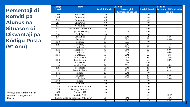**Persentaji di Konviti pa Alunus na Situason di Disvantaji pa Kódigu Pustal (9º Anu)**

*\*Kódigu pustal ku ménus di 10 konviti sta agrupadu djuntu.*

| Kódigu            | <b>Bairu</b>                          |                          | SY20-21                   | <b>SY21-22</b>   |                                            |  |  |  |
|-------------------|---------------------------------------|--------------------------|---------------------------|------------------|--------------------------------------------|--|--|--|
| Pustal            |                                       | <b>Total di Konvitis</b> | Persentaji di             |                  | Total di Konvitis Persentaji di Konvidadus |  |  |  |
|                   |                                       |                          | <b>Konvidadus Eco Dis</b> |                  | <b>Eco Dis</b>                             |  |  |  |
| 2108              | <b>Beacon Hill</b>                    | $\overline{10}$          |                           | $\overline{10}$  |                                            |  |  |  |
| 2109              | Downtown                              | $\overline{10}$          |                           | $\overline{10}$  |                                            |  |  |  |
| 2110              | Downtown                              | $\overline{10}$          |                           | $\overline{50}$  |                                            |  |  |  |
| $\overline{2111}$ | Chinatown                             | <10                      |                           | <10              |                                            |  |  |  |
| 2113              | North End                             | $\overline{10}$          |                           | $\overline{10}$  |                                            |  |  |  |
| 2114              | Beacon Hill / West End                | <10                      |                           | <10              |                                            |  |  |  |
| 2115              | Longwood/Fenway                       | $\overline{11}$          | 55%                       | $\overline{10}$  |                                            |  |  |  |
| 2116              | <b>Back Bay</b>                       | $\overline{10}$          |                           | $\overline{10}$  |                                            |  |  |  |
| 2118              | South End                             | $\overline{11}$          | 82%                       | $\overline{11}$  | 64%                                        |  |  |  |
| 2119              | Roxbury                               | $\overline{25}$          | 52%                       | $\overline{20}$  | 80%                                        |  |  |  |
| 2120              | Roxbury                               | $\overline{13}$          | 77%                       | $\overline{<}10$ |                                            |  |  |  |
| 2121              | Roxbury                               | $\overline{22}$          | 55%                       | 23               | 78%                                        |  |  |  |
| 2122              | Dorchester                            | $\overline{32}$          | 69%                       | $\overline{20}$  | 75%                                        |  |  |  |
| 2124              | Dorchester                            | 43                       | 60%                       | 42               | 50%                                        |  |  |  |
| 2125              | Dorchester                            | $\overline{32}$          | 63%                       | 20               | 65%                                        |  |  |  |
| 2126              | Mattapan                              | 17                       | 29%                       | $\overline{27}$  | 41%                                        |  |  |  |
| 2127              | South Boston                          | $\overline{11}$          | 64%                       | 12               | 58%                                        |  |  |  |
| 2128              | East Boston                           | $\overline{21}$          | 71%                       | $\overline{28}$  | 82%                                        |  |  |  |
| 2129              | Charlestown                           | $\overline{14}$          | 71%                       | $\overline{10}$  |                                            |  |  |  |
| 2130              | Jamaica Plain                         | 20                       | 35%                       | 17               | 35%                                        |  |  |  |
| 2131              | Roslindale                            | $\overline{25}$          | 20%                       | 18               | 50%                                        |  |  |  |
| 2132              | West Roxbury                          | $\overline{22}$          | 23%                       | $\overline{12}$  | 42%                                        |  |  |  |
| 2134              | Allston                               | $\overline{10}$          | 70%                       | <10              |                                            |  |  |  |
| 2135              | Brighton                              | $\overline{17}$          | 29%                       | 10               | 80%                                        |  |  |  |
| 2136              | <b>Hyde Park</b>                      | $\overline{35}$          | 31%                       | $\overline{24}$  | 50%                                        |  |  |  |
| 2163              | Allston                               | $\overline{10}$          |                           | $\overline{10}$  |                                            |  |  |  |
| 2199              | Back Bay                              | <10                      |                           | <10              |                                            |  |  |  |
| 2210              | South Boston Waterfront               | <10                      |                           | <10              |                                            |  |  |  |
| 2215              | Fenway/Kenmore                        | <10                      |                           | <10              |                                            |  |  |  |
| 2467              | <b>Chestnut Hill</b>                  | $\overline{50}$          |                           | <10              |                                            |  |  |  |
| 9999              | Sen tetu/DCF                          |                          |                           | 20               | 100%                                       |  |  |  |
|                   | Kódigu pustal ku ménus di 10 konviti* | 25                       | 68%                       | $\overline{36}$  | 64%                                        |  |  |  |
|                   | Total                                 | 406                      | 52%                       | 340              | 63%                                        |  |  |  |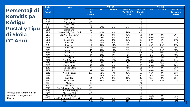| Persentaji di        |
|----------------------|
| <b>Konvitis pa</b>   |
| Kódigu               |
| <b>Pustal y Tipu</b> |
| di Skóla             |
| $(7°$ Anu)           |

| *Kódiqu pustal ku ménus di |
|----------------------------|
| 10 konviti sta agrupadu    |
| djuntu.                    |

| Kódig                         | <b>Bairu</b>                          | SY20-21                                   |            |         |                                         | <b>SY21-22</b>                             |            |                |                                                      |  |
|-------------------------------|---------------------------------------|-------------------------------------------|------------|---------|-----------------------------------------|--------------------------------------------|------------|----------------|------------------------------------------------------|--|
| $\mathbf{u}$<br><b>Pustal</b> |                                       | <b>Total</b><br>di<br><b>Konvit</b><br>is | <b>BPS</b> | Statutu | Privadu /<br>Parókial /<br><b>Metco</b> | <b>Total di</b><br>Konviti<br>$\mathbf{s}$ | <b>BPS</b> | <b>Statutu</b> | Privadu $\overline{ }$<br>Parókial /<br><b>Metco</b> |  |
| 2108                          | Beacon Hill                           | <10                                       |            |         |                                         | <10                                        |            |                |                                                      |  |
| 2109                          | Downtown                              | <10                                       |            |         |                                         | <10                                        |            |                |                                                      |  |
| 2110                          | Downtown                              | $\overline{10}$                           |            |         |                                         | $\overline{10}$                            |            |                |                                                      |  |
| 2111                          | Chinatown                             | $\overline{24}$                           | 96%        | 0%      | 4%                                      | $\overline{<}10$                           |            |                |                                                      |  |
| 2113                          | North End                             | <10                                       |            |         |                                         | <10                                        |            |                |                                                      |  |
| 2114                          | Beacon Hill / West End                | 19                                        | 42%        | 0%      | 58%                                     | $\overline{50}$                            |            |                |                                                      |  |
| 2115                          | Longwood/Fenway                       | $\overline{14}$                           | 64%        | 0%      | 36%                                     | 10                                         | 50%        | 0%             | 50%                                                  |  |
| 2116                          | <b>Back Bay</b>                       | $\overline{27}$                           | 19%        | 0%      | 81%                                     | $\overline{13}$                            | 69%        | 0%             | 31%                                                  |  |
| 2118                          | South End                             | $\overline{36}$                           | 58%        | 6%      | 36%                                     | $\overline{27}$                            | 59%        | 4%             | 37%                                                  |  |
| 2119                          | Roxbury                               | $\overline{27}$                           | 85%        | 11%     | 4%                                      | $\overline{50}$                            | 80%        | 8%             | 12%                                                  |  |
| 2120                          | Roxbury                               | 16                                        | 69%        | 13%     | 19%                                     | 11                                         | 55%        | 18%            | 27%                                                  |  |
| 2121                          | Roxbury                               | 27                                        | 74%        | 22%     | 4%                                      | 67                                         | 87%        | 6%             | 7%                                                   |  |
| 2122                          | Dorchester                            | 62                                        | 69%        | 10%     | 21%                                     | $\overline{48}$                            | 77%        | 13%            | 10%                                                  |  |
| 2124                          | Dorchester                            | 84                                        | 73%        | 12%     | 15%                                     | 109                                        | 77%        | 13%            | 10%                                                  |  |
| 2125                          | Dorchester                            | 47                                        | 68%        | 17%     | 15%                                     | 59                                         | 81%        | 8%             | 10%                                                  |  |
| 2126                          | Mattapan                              | 20                                        | 40%        | 50%     | 10%                                     | 51                                         | 71%        | 20%            | 10%                                                  |  |
| 2127                          | South Boston                          | 34                                        | 53%        | 12%     | 35%                                     | $\overline{35}$                            | 66%        | 6%             | 29%                                                  |  |
| 2128                          | East Boston                           | $\overline{57}$                           | 88%        | 11%     | 2%                                      | $\overline{75}$                            | 80%        | 15%            | $\overline{5\%}$                                     |  |
| 2129                          | Charlestown                           | 56                                        | 88%        | 0%      | 13%                                     | 35                                         | 80%        | 0%             | 20%                                                  |  |
| 2130                          | Jamaica Plain                         | 77                                        | 56%        | 6%      | 38%                                     | $\overline{54}$                            | 65%        | 0%             | 35%                                                  |  |
| 2131                          | Roslindale                            | 94                                        | 76%        | 11%     | 14%                                     | 67                                         | 69%        | 6%             | 25%                                                  |  |
| 2132                          | West Roxbury                          | 133                                       | 62%        | 4%      | 35%                                     | 69                                         | 64%        | 3%             | 33%                                                  |  |
| 2134                          | Allston                               | $\overline{17}$                           | 88%        | 0%      | 12%                                     | 11                                         | 91%        | 0%             | 9%                                                   |  |
| 2135                          | Brighton                              | $\overline{52}$                           | 67%        | 0%      | 33%                                     | $\overline{29}$                            | 72%        | 0%             | 28%                                                  |  |
| 2136                          | Hyde Park                             | 67                                        | 55%        | 21%     | 24%                                     | 67                                         | 58%        | 16%            | 25%                                                  |  |
| 2163                          | Allston                               | <10                                       |            |         |                                         | <10                                        |            |                |                                                      |  |
| 2199                          | <b>Back Bay</b>                       | <10                                       |            |         |                                         | <10                                        |            |                |                                                      |  |
| 2210                          | South Boston Waterfront               | <10                                       |            |         |                                         | <10                                        |            |                |                                                      |  |
| 2215                          | Fenway/Kenmore                        | <10                                       |            |         |                                         | <10                                        |            |                |                                                      |  |
| 2467                          | Chestnut Hill                         | <10                                       |            |         |                                         | <10                                        |            |                |                                                      |  |
| 9999                          | Sen tetu/DCF                          |                                           |            |         |                                         | $\overline{53}$                            | 100%       | 0%             | 0%                                                   |  |
|                               | Kódigu pustal ku ménus di 10 konviti* | 35                                        | 57%        | 0%      | 43%                                     | 34                                         | 65%        | 0%             | 35%                                                  |  |
|                               | Total                                 | 1025                                      | 67%        | 9%      | 24%                                     | 974                                        | 74%        | 8%             | 18%                                                  |  |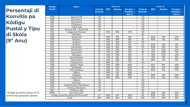**Persentaji di Konvitis pa Kódigu Pustal y Tipu di Skóla (9º Anu)**

| *Kódigu pustal ku ménus di 10 |  |
|-------------------------------|--|
| konviti sta agrupadu  djuntu. |  |

| Kódigu        | <b>Bairu</b>                          | SY20-21                            |            |                | <b>SY21-22</b>                          |                                    |            |                |                                         |
|---------------|---------------------------------------|------------------------------------|------------|----------------|-----------------------------------------|------------------------------------|------------|----------------|-----------------------------------------|
| <b>Pustal</b> |                                       | <b>Total di</b><br><b>Konvitis</b> | <b>BPS</b> | <b>Statutu</b> | Privadu /<br>Parókial /<br><b>Metco</b> | <b>Total di</b><br><b>Konvitis</b> | <b>BPS</b> | <b>Statutu</b> | Privadu /<br>Parókial /<br><b>Metco</b> |
| 2108          | Beacon Hill                           | <10                                |            |                |                                         | <10                                |            |                |                                         |
| 2109          | Downtown                              | $\overline{10}$                    |            |                |                                         | $\overline{50}$                    |            |                |                                         |
| 2110          | Downtown                              | <10                                |            |                |                                         | <10                                |            |                |                                         |
| 2111          | Chinatown                             | $\overline{10}$                    |            |                |                                         | $\overline{10}$                    |            |                |                                         |
| 2113          | North End                             | <10                                |            |                |                                         | <10                                |            |                |                                         |
| 2114          | Beacon Hill / West End                | <10                                |            |                |                                         | <10                                |            |                |                                         |
| 2115          | Longwood/Fenway                       | $\overline{11}$                    | 55%        | 18%            | 27%                                     | $\overline{10}$                    |            |                |                                         |
| 2116          | Back Bay                              | <10                                |            |                |                                         | <10                                |            |                |                                         |
| 2118          | South End                             | 11                                 | 91%        | 0%             | 9%                                      | 11                                 | 64%        | 9%             | 27%                                     |
| 2119          | Roxbury                               | 25                                 | 48%        | 36%            | 16%                                     | 20                                 | 80%        | 5%             | 15%                                     |
| 2120          | Roxbury                               | 13                                 | 77%        | 15%            | 8%                                      | <10                                |            |                |                                         |
| 2121          | Roxbury                               | $\overline{22}$                    | 59%        | 32%            | 9%                                      | 23                                 | 87%        | 9%             | 4%                                      |
| 2122          | Dorchester                            | 32                                 | 66%        | 16%            | 19%                                     | 20                                 | 85%        | 10%            | 5%                                      |
| 2124          | Dorchester                            | 43                                 | 70%        | 14%            | 16%                                     | 42                                 | 74%        | 14%            | 12%                                     |
| 2125          | Dorchester                            | $\overline{32}$                    | 75%        | 16%            | 9%                                      | 20                                 | 75%        | 20%            | 5%                                      |
| 2126          | Mattapan                              | $\overline{17}$                    | 24%        | 35%            | 41%                                     | 27                                 | 56%        | 22%            | 22%                                     |
| 2127          | South Boston                          | 11                                 | 73%        | 9%             | 18%                                     | 12                                 | 75%        | 17%            | 8%                                      |
| 2128          | East Boston                           | 21                                 | 81%        | 10%            | 10%                                     | $\overline{28}$                    | 96%        | 4%             | 0%                                      |
| 2129          | Charlestown                           | 14                                 | 86%        | 7%             | 7%                                      | <10                                |            |                |                                         |
| 2130          | Jamaica Plain                         | 20                                 | 20%        | 20%            | 60%                                     | 17                                 | 65%        | 0%             | 35%                                     |
| 2131          | Roslindale                            | $\overline{25}$                    | 44%        | 12%            | 44%                                     | 18                                 | 61%        | 11%            | 28%                                     |
| 2132          | West Roxbury                          | $\overline{22}$                    | 45%        | 5%             | 50%                                     | $\overline{12}$                    | 83%        | 0%             | 17%                                     |
| 2134          | Allston                               | 10                                 | 80%        | 0%             | 20%                                     | <10                                |            |                |                                         |
| 2135          | Brighton                              | $\overline{17}$                    | 41%        | 0%             | 59%                                     | 10                                 | 80%        | 0%             | 20%                                     |
| 2136          | Hyde Park                             | $\overline{35}$                    | 40%        | 29%            | 31%                                     | $\overline{24}$                    | 67%        | 21%            | 13%                                     |
| 2163          | Allston                               | <10                                |            |                |                                         | <10                                |            |                |                                         |
| 2199          | <b>Back Bay</b>                       | $\overline{10}$                    |            |                |                                         | <10                                |            |                |                                         |
| 2210          | South Boston Waterfront               | <10                                |            |                |                                         | <10                                |            |                |                                         |
| 2215          | Fenway/Kenmore                        | <10                                |            |                |                                         | <10                                |            |                |                                         |
| 2467          | Chestnut Hill                         | <10                                |            |                |                                         | <10                                |            |                |                                         |
| 9999          | Sen tetu/DCF                          |                                    |            |                |                                         | 20                                 | 90%        | 0%             | 10%                                     |
|               | Kódigu pustal ku ménus di 10 konviti* | 25                                 | 80%        | 0%             | 20%                                     | 36                                 | 83%        | 6%             | 11%                                     |
| Total         |                                       | 406                                | 59%        | 16%            | 25%                                     | 340                                | 77%        | 10%            | 13%                                     |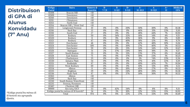## **Distribuison di GPA di Alunus Konvidadu (7º Anu)**

| Kódigu | <b>Bairu</b>                          | Númeru di       | $B-$      | <sub>B</sub>     | $B+$             | $A-$        | $\mathbf{A}$ | $A+$ | Média di   |
|--------|---------------------------------------|-----------------|-----------|------------------|------------------|-------------|--------------|------|------------|
| Pustal |                                       | <b>Konvitis</b> | $7 - 7.9$ | $8 - 8.9$        | $9 - 9.9$        | $10 - 10.9$ | $11 - 11.9$  | 12   | <b>GPA</b> |
| 02108  | <b>Beacon Hill</b>                    | $\overline{50}$ |           |                  |                  |             |              |      |            |
| 02109  | Downtown                              | <10             |           |                  |                  |             |              |      |            |
| 02110  | Downtown                              | <10             |           |                  |                  |             |              |      |            |
| 02111  | Chinatown                             | $\overline{10}$ |           |                  |                  |             |              |      |            |
| 02113  | North End                             | <10             |           |                  |                  |             |              |      |            |
| 02114  | Beacon Hill / West End                | $\overline{10}$ |           |                  |                  |             |              |      |            |
| 02115  | Longwood/Fenway                       | $\overline{10}$ | 0%        | 0%               | 20%              | 50%         | 30%          | 0%   | 10,38      |
| 02116  | Back Bay                              | 13              | 0%        | 0%               | 0%               | 46%         | 31%          | 23%  | 11.10      |
| 02118  | South End                             | $\overline{27}$ | 0%        | 0%               | 0%               | 48%         | 44%          | 7%   | 10,92      |
| 02119  | Roxbury                               | 50              | 0%        | 34%              | 32%              | 16%         | 14%          | 4%   | 9,51       |
| 02120  | Roxbury                               | 11              | 0%        | 9%               | 45%              | 36%         | 9%           | 0%   | 9,89       |
| 02121  | Roxbury                               | 67              | 0%        | 21%              | 40%              | 18%         | 12%          | 9%   | 9,79       |
| 02122  | Dorchester                            | 48              | 0%        | $\overline{0\%}$ | $\overline{0\%}$ | 42%         | 48%          | 10%  | 11,04      |
| 02124  | Dorchester                            | 109             | 0%        | 0%               | 30%              | 27%         | 40%          | 3%   | 10,53      |
| 02125  | Dorchester                            | 59              | 0%        | 0%               | 31%              | 24%         | 34%          | 12%  | 10,67      |
| 02126  | Mattapan                              | $\overline{51}$ | 2%        | 37%              | 24%              | 18%         | 18%          | 2%   | 9,57       |
| 02127  | South Boston                          | $\overline{35}$ | 0%        | 3%               | 31%              | 23%         | 37%          | 6%   | 10,48      |
| 02128  | East Boston                           | $\overline{75}$ | 0%        | 0%               | 37%              | 39%         | 23%          | 1%   | 10,25      |
| 02129  | Charlestown                           | 35              | 0%        | 0%               | 0%               | 3%          | 74%          | 23%  | 11,56      |
| 02130  | Jamaica Plain                         | 54              | 0%        | 0%               | 0%               | 37%         | 41%          | 22%  | 11,19      |
| 02131  | Roslindale                            | 67              | 0%        | 0%               | 0%               | 49%         | 43%          | 7%   | 10,94      |
| 02132  | West Roxbury                          | 69              | 0%        | 0%               | 0%               | 10%         | 51%          | 39%  | 11,51      |
| 02134  | Allston                               | $\overline{11}$ | 0%        | 9%               | 18%              | 45%         | 27%          | 0%   | 10,32      |
| 02135  | Brighton                              | 29              | 0%        | 0%               | 24%              | 48%         | 28%          | 0%   | 10,36      |
| 02136  | Hyde Park                             | 67              | 0%        | 0%               | 37%              | 30%         | 30%          | 3%   | 10,32      |
| 02163  | Allston                               | <10             |           |                  |                  |             |              |      |            |
| 02199  | <b>Back Bay</b>                       | <10             |           |                  |                  |             |              |      |            |
| 02210  | South Boston Waterfront               | $\overline{10}$ |           |                  |                  |             |              |      |            |
| 02215  | Fenway/Kenmore                        | <10             |           |                  |                  |             |              |      |            |
| 02467  | Chestnut Hill                         | <10             |           |                  |                  |             |              |      |            |
| 99999  | Sen tetu/DCF                          | $\overline{53}$ | 0%        | 42%              | 34%              | 9%          | 8%           | 8%   | 9,31       |
|        | Kódigu pustal ku ménus di 10 konviti* | $\overline{34}$ | 0%        | 3%               | 18%              | 12%         | 53%          | 15%  | 10,92      |
|        | Total                                 | 974             | 0%        | 8%               | 22%              | 27%         | 33%          | 10%  | 10,49      |

*\*Kódigu pustal ku ménus di 10 konviti sta agrupadu djuntu.*